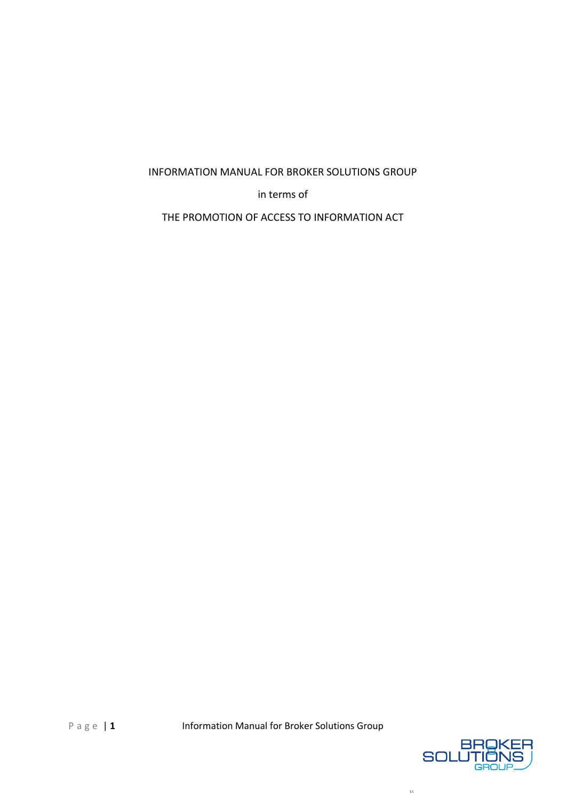# INFORMATION MANUAL FOR BROKER SOLUTIONS GROUP

in terms of

THE PROMOTION OF ACCESS TO INFORMATION ACT



 $1\mathrm{\AA}$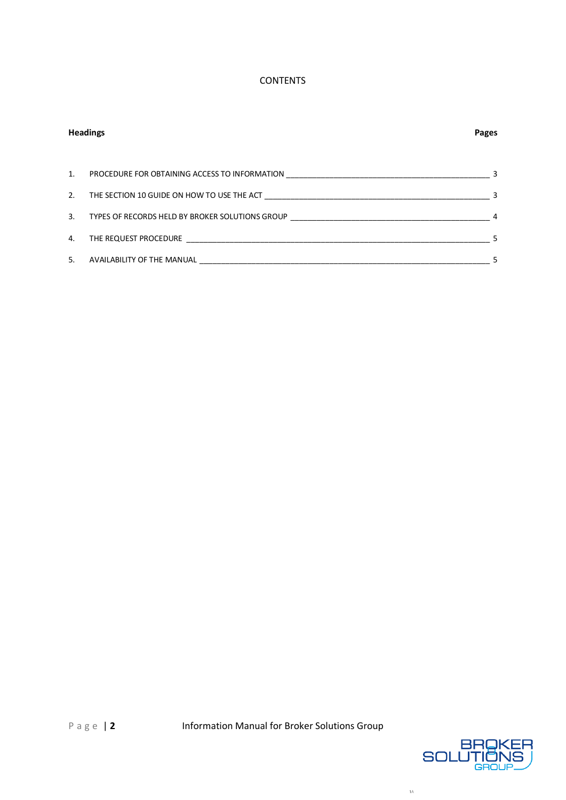## **CONTENTS**

| <b>Headings</b> |                                                                                   | <b>Pages</b> |
|-----------------|-----------------------------------------------------------------------------------|--------------|
| 1.              |                                                                                   | 3            |
| 2.              | THE SECTION 10 GUIDE ON HOW TO USE THE ACT                                        | 3            |
| 3.              | TYPES OF RECORDS HELD BY BROKER SOLUTIONS GROUP _________________________________ | 4            |
| 4.              | THE REQUEST PROCEDURE                                                             |              |
| 5.              | AVAILABILITY OF THE MANUAL                                                        |              |



 $1\mbox{\AA}$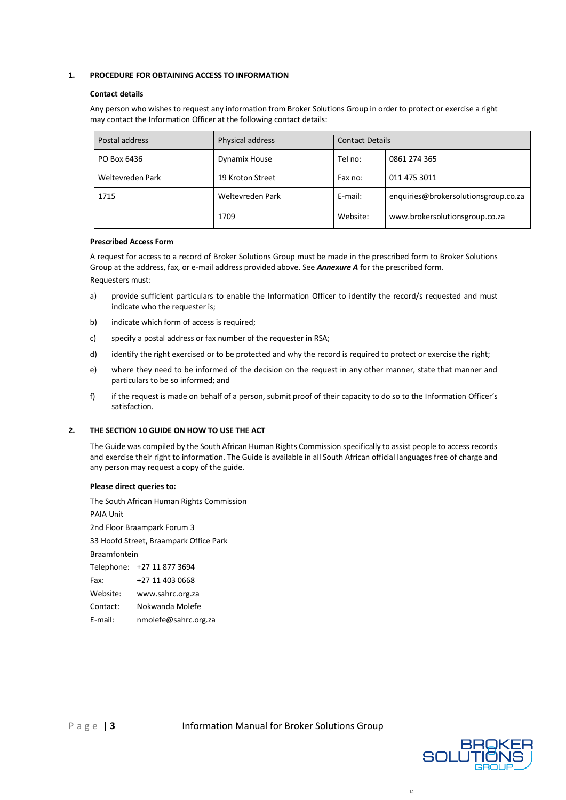## <span id="page-2-0"></span>**1. PROCEDURE FOR OBTAINING ACCESS TO INFORMATION**

### **Contact details**

Any person who wishes to request any information from Broker Solutions Group in order to protect or exercise a right may contact the Information Officer at the following contact details:

| Postal address   | Physical address | <b>Contact Details</b> |                                      |
|------------------|------------------|------------------------|--------------------------------------|
| PO Box 6436      | Dynamix House    | Tel no:                | 0861 274 365                         |
| Weltevreden Park | 19 Kroton Street | Fax no:                | 011 475 3011                         |
| 1715             | Weltevreden Park | E-mail:                | enquiries@brokersolutionsgroup.co.za |
|                  | 1709             | Website:               | www.brokersolutionsgroup.co.za       |

#### **Prescribed Access Form**

A request for access to a record of Broker Solutions Group must be made in the prescribed form to Broker Solutions Group at the address, fax, or e-mail address provided above. See *Annexure A* for the prescribed form. Requesters must:

- a) provide sufficient particulars to enable the Information Officer to identify the record/s requested and must indicate who the requester is;
- b) indicate which form of access is required;
- c) specify a postal address or fax number of the requester in RSA;
- d) identify the right exercised or to be protected and why the record is required to protect or exercise the right;
- e) where they need to be informed of the decision on the request in any other manner, state that manner and particulars to be so informed; and
- f) if the request is made on behalf of a person, submit proof of their capacity to do so to the Information Officer's satisfaction.

## <span id="page-2-1"></span>**2. THE SECTION 10 GUIDE ON HOW TO USE THE ACT**

The Guide was compiled by the South African Human Rights Commission specifically to assist people to access records and exercise their right to information. The Guide is available in all South African official languages free of charge and any person may request a copy of the guide.

## **Please direct queries to:**

The South African Human Rights Commission PAIA Unit 2nd Floor Braampark Forum 3 33 Hoofd Street, Braampark Office Park Braamfontein Telephone: +27 11 877 3694 Fax: +27 11 403 0668 Website: www.sahrc.org.za Contact: Nokwanda Molefe E-mail: nmolefe@sahrc.org.za



 $\overline{1\Lambda}$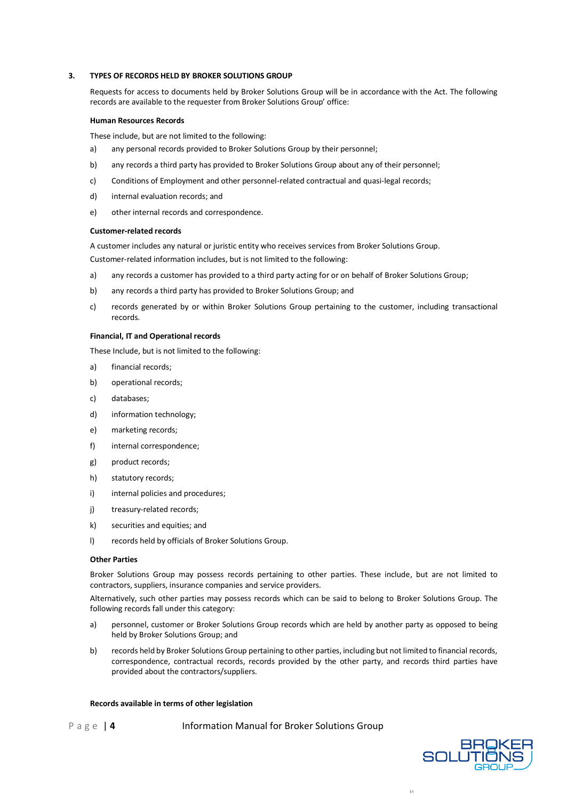### <span id="page-3-0"></span>**3. TYPES OF RECORDS HELD BY BROKER SOLUTIONS GROUP**

Requests for access to documents held by Broker Solutions Group will be in accordance with the Act. The following records are available to the requester from Broker Solutions Group' office:

#### **Human Resources Records**

These include, but are not limited to the following:

- a) any personal records provided to Broker Solutions Group by their personnel;
- b) any records a third party has provided to Broker Solutions Group about any of their personnel;
- c) Conditions of Employment and other personnel-related contractual and quasi-legal records;
- d) internal evaluation records; and
- e) other internal records and correspondence.

#### **Customer-related records**

A customer includes any natural or juristic entity who receives services from Broker Solutions Group.

Customer-related information includes, but is not limited to the following:

- a) any records a customer has provided to a third party acting for or on behalf of Broker Solutions Group;
- b) any records a third party has provided to Broker Solutions Group; and
- c) records generated by or within Broker Solutions Group pertaining to the customer, including transactional records.

## **Financial, IT and Operational records**

These Include, but is not limited to the following:

- a) financial records;
- b) operational records;
- c) databases;
- d) information technology;
- e) marketing records;
- f) internal correspondence;
- g) product records;
- h) statutory records;
- i) internal policies and procedures;
- j) treasury-related records;
- k) securities and equities; and
- l) records held by officials of Broker Solutions Group.

#### **Other Parties**

Broker Solutions Group may possess records pertaining to other parties. These include, but are not limited to contractors, suppliers, insurance companies and service providers.

Alternatively, such other parties may possess records which can be said to belong to Broker Solutions Group. The following records fall under this category:

- a) personnel, customer or Broker Solutions Group records which are held by another party as opposed to being held by Broker Solutions Group; and
- b) records held by Broker Solutions Group pertaining to other parties, including but not limited to financial records, correspondence, contractual records, records provided by the other party, and records third parties have provided about the contractors/suppliers.

#### **Records available in terms of other legislation**

P a g e | 4 Information Manual for Broker Solutions Group



1 A